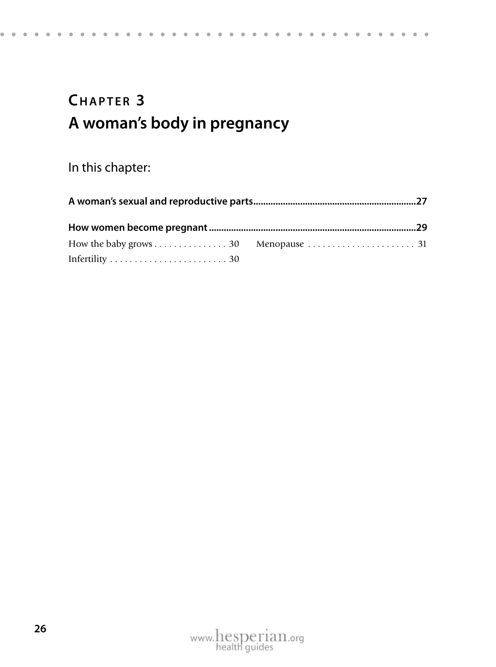### CHAPTER 3 **A woman's body in pregnancy**

#### In this chapter: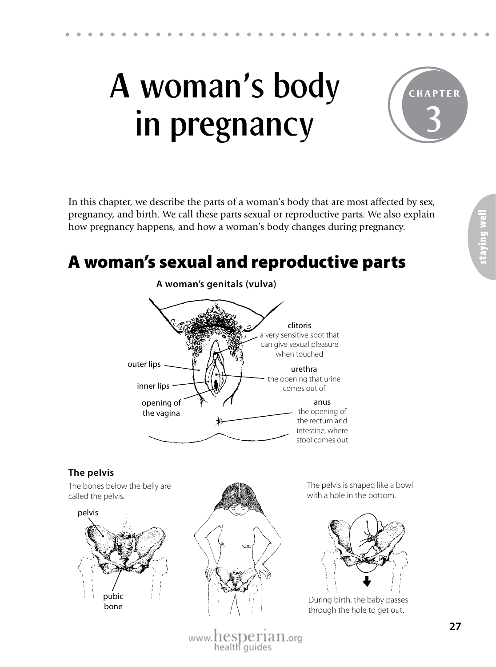

In this chapter, we describe the parts of a woman's body that are most affected by sex, pregnancy, and birth. We call these parts sexual or reproductive parts. We also explain how pregnancy happens, and how a woman's body changes during pregnancy.

#### A woman's sexual and reproductive parts



pelvis

bone

During birth, the baby passes through the hole to get out.

www.hesperian.org health guides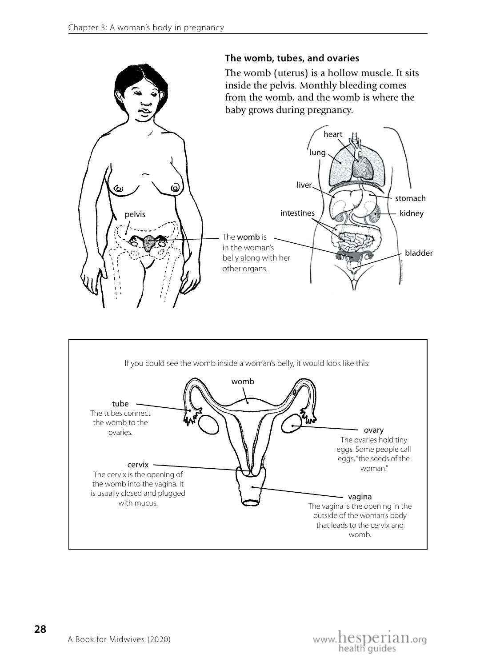

**28**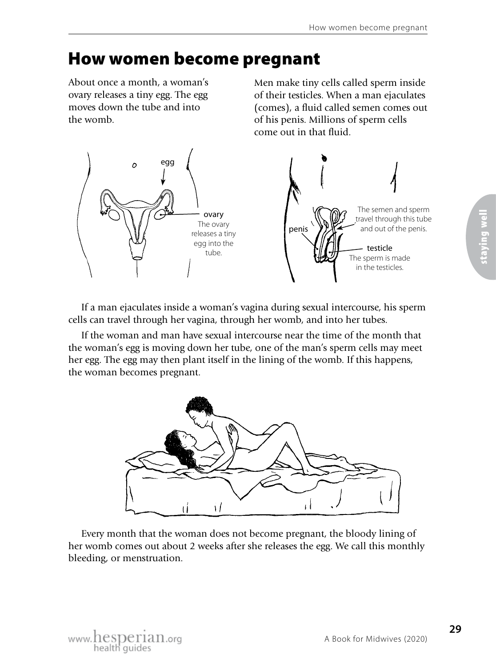## How women become pregnant

About once a month, a woman's ovary releases a tiny egg. The egg moves down the tube and into the womb.

Men make tiny cells called sperm inside of their testicles. When a man ejaculates (comes), a fluid called semen comes out of his penis. Millions of sperm cells come out in that fluid.



If a man ejaculates inside a woman's vagina during sexual intercourse, his sperm cells can travel through her vagina, through her womb, and into her tubes.

If the woman and man have sexual intercourse near the time of the month that the woman's egg is moving down her tube, one of the man's sperm cells may meet her egg. The egg may then plant itself in the lining of the womb. If this happens, the woman becomes pregnant.



Every month that the woman does not become pregnant, the bloody lining of her womb comes out about 2 weeks after she releases the egg. We call this monthly bleeding, or menstruation.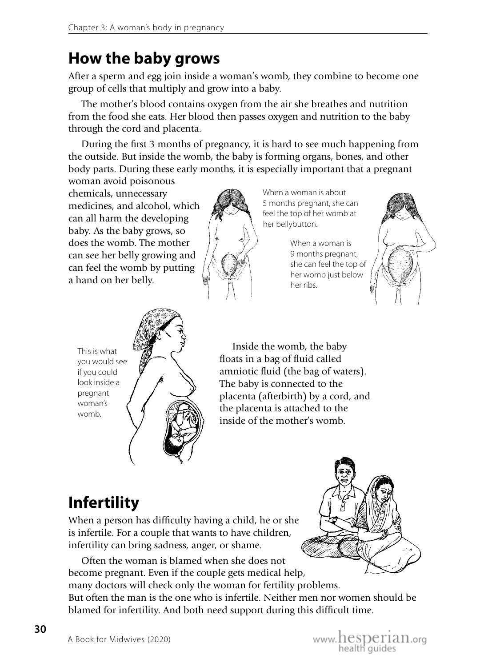#### **How the baby grows**

After a sperm and egg join inside a woman's womb, they combine to become one group of cells that multiply and grow into a baby.

The mother's blood contains oxygen from the air she breathes and nutrition from the food she eats. Her blood then passes oxygen and nutrition to the baby through the cord and placenta.

During the first 3 months of pregnancy, it is hard to see much happening from the outside. But inside the womb, the baby is forming organs, bones, and other body parts. During these early months, it is especially important that a pregnant

woman avoid poisonous chemicals, unnecessary medicines, and alcohol, which can all harm the developing baby. As the baby grows, so does the womb. The mother can see her belly growing and can feel the womb by putting a hand on her belly.



When a woman is about 5 months pregnant, she can feel the top of her womb at her bellybutton.

> When a woman is 9 months pregnant, she can feel the top of her womb just below her ribs.





Inside the womb, the baby floats in a bag of fluid called amniotic fluid (the bag of waters). The baby is connected to the placenta (afterbirth) by a cord, and the placenta is attached to the inside of the mother's womb.

# **Infertility**

When a person has difficulty having a child, he or she is infertile. For a couple that wants to have children, infertility can bring sadness, anger, or shame.

Often the woman is blamed when she does not become pregnant. Even if the couple gets medical help, many doctors will check only the woman for fertility problems. But often the man is the one who is infertile. Neither men nor women should be blamed for infertility. And both need support during this difficult time.